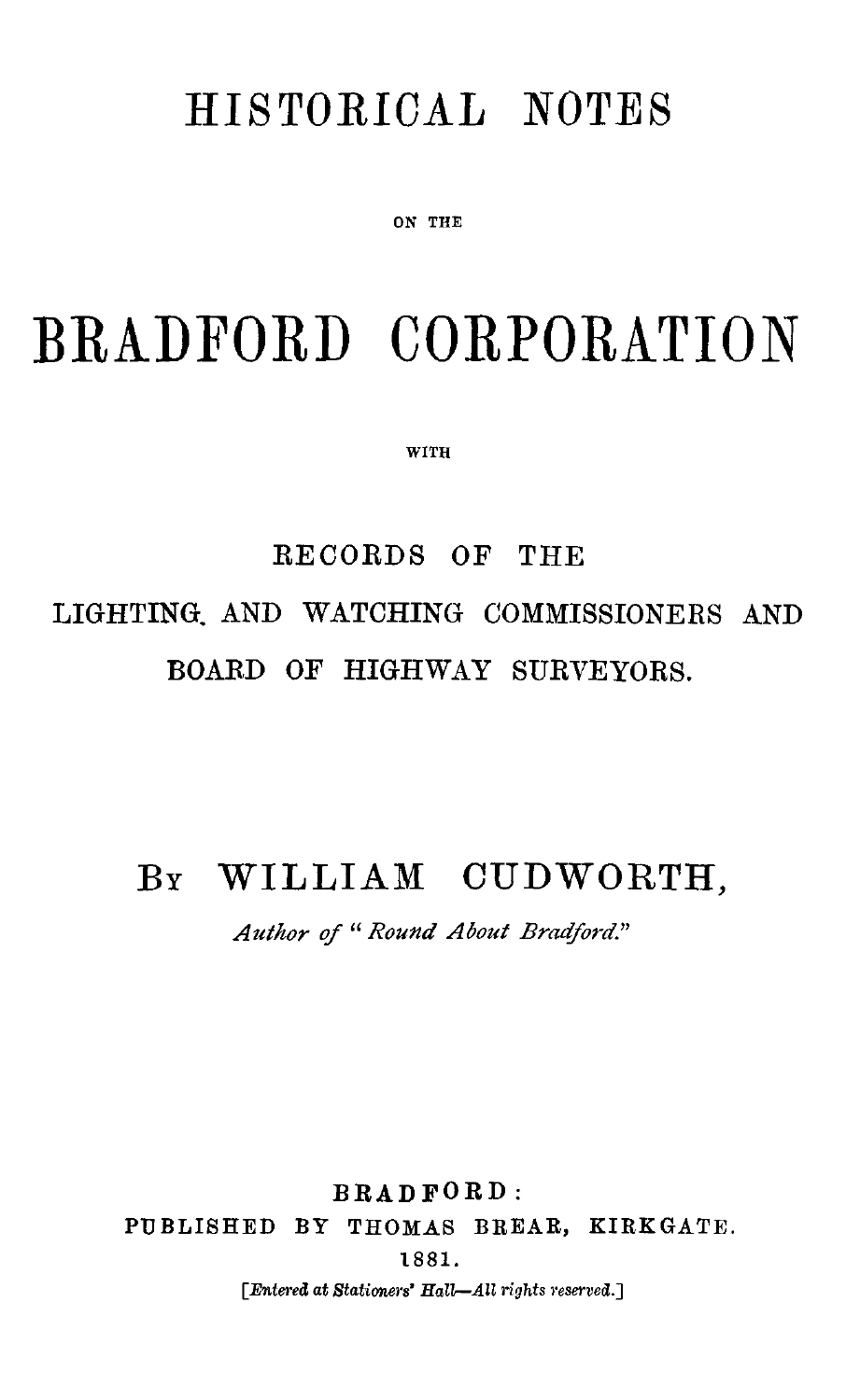## HISTORICAL NOTES

ON THE

# BRADFORD CORPORATION

WITH

## RECORDS OF THE LIGHTING, AND WATCHING COMMISSIONERS AND BOARD OF HIGHWAY SURVEYORS.

#### BY WILLIAM CUDWORTH,

*Author of " Round About Bradford."*

BRADFORD: PUBLISHED BY THOMAS BREAR, KIRKGATE. 1881. *[Entered at Stationers' Hall—All rights reserved.]*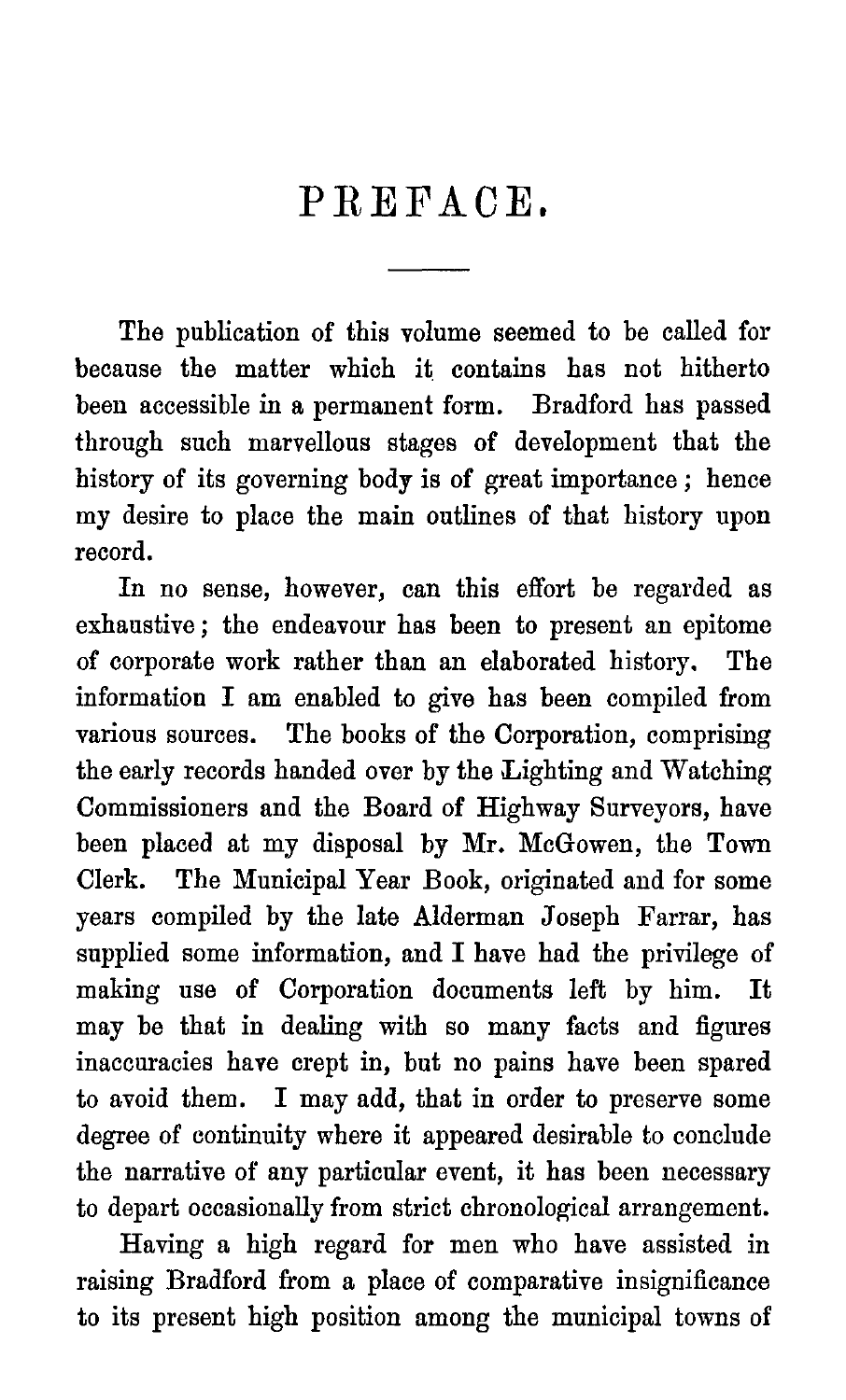### PREFACE,

The publication of this volume seemed to be called for because the matter which it contains has not hitherto been accessible in a permanent form. Bradford has passed through such marvellous stages of development that the history of its governing body is of great importance ; hence my desire to place the main outlines of that history upon record.

In no sense, however, can this effort be regarded as exhaustive ; the endeavour has been to present an epitome of corporate work rather than an elaborated history. The information I am enabled to give has been compiled from various sources. The books of the Corporation, comprising the early records handed over by the Lighting and Watching Commissioners and the Board of Highway Surveyors, have been placed at my disposal by Mr. McGowen, the Town Clerk. The Municipal Year Book, originated and for some years compiled by the late Alderman Joseph Farrar, has supplied some information, and I have had the privilege of making use of Corporation documents left by him. It may be that in dealing with so many facts and figures inaccuracies have crept in, but no pains have been spared to avoid them. I may add, that in order to preserve some degree of continuity where it appeared desirable to conclude the narrative of any particular event, it has been necessary to depart occasionally from strict chronological arrangement.

Having a high regard for men who have assisted in raising Bradford from a place of comparative insignificance to its present high position among the municipal towns of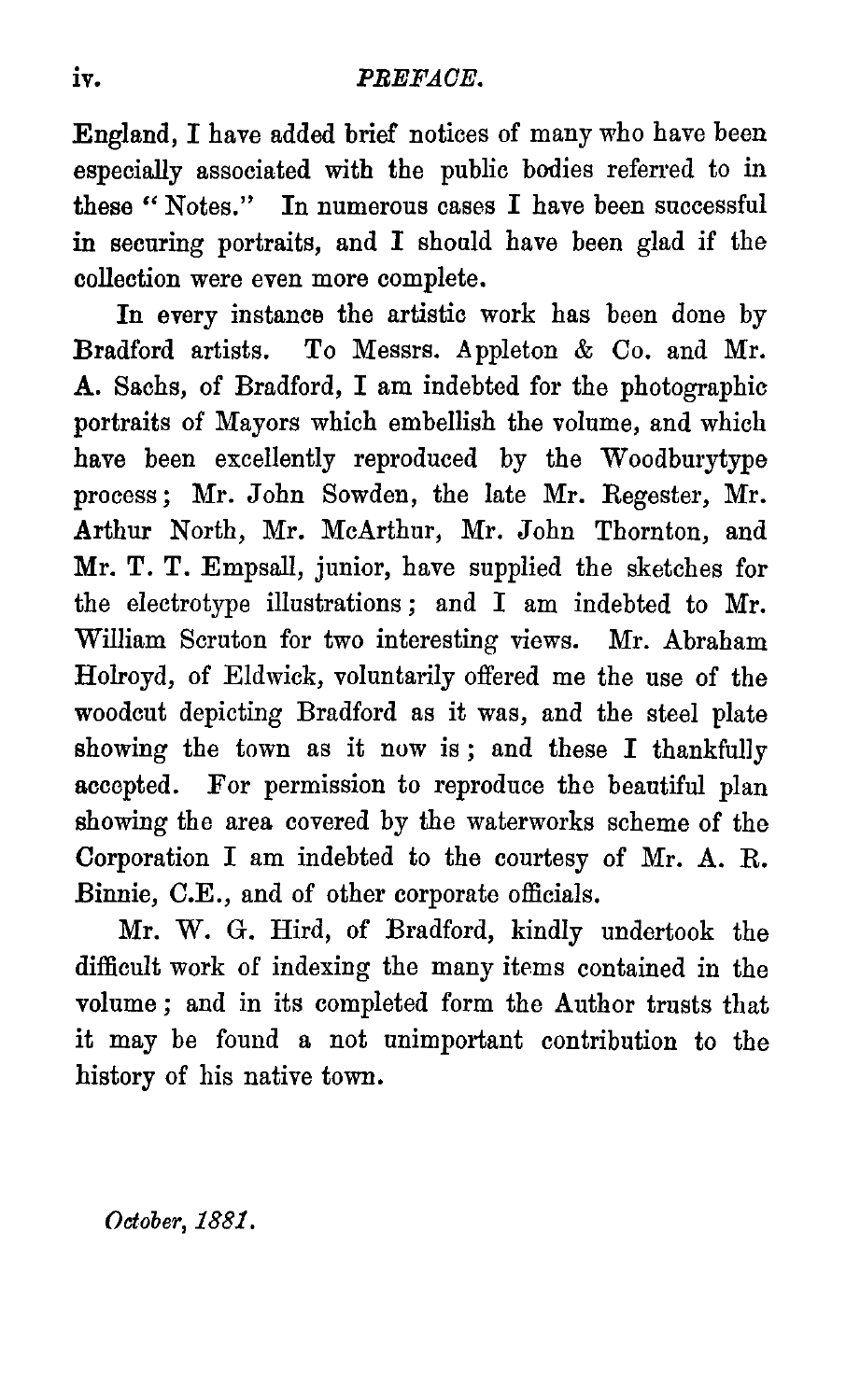iv. PREFACE.<br> **England, I have added brief notices**<br>
especially associated with the pub<br>
these "Notes." In numerous case England, I have added brief notices of many who have been especially associated with the public bodies referred to in these " Notes." In numerous cases I have been successful in securing portraits, and I should have been glad if the collection were even more complete.

In every instance the artistic work has been done by Bradford artists. To Messrs. Appleton & Co. and Mr. A. Sachs, of Bradford, I am indebted for the photographic portraits of Mayors which embellish the volume, and which have been excellently reproduced by the Woodburytype process ; Mr. John Sowden, the late Mr. Regester, Mr. Arthur North, Mr. McArthur, Mr. John Thornton, and Mr. T. T. Empsall, junior, have supplied the sketches for the electrotype illustrations ; and I am indebted to Mr. William Scruton for two interesting views. Mr. Abraham Holroyd, of Eldwick, voluntarily offered me the use of the woodcut depicting Bradford as it was, and the steel plate showing the town as it now is; and these I thankfully accepted. For permission to reproduce the beautiful plan showing the area covered by the waterworks scheme of the Corporation I am indebted to the courtesy of Mr. A. R. Binnie, C.E., and of other corporate officials.

Mr. W. G. Hird, of Bradford, kindly undertook the difficult work of indexing the many items contained in the volume ; and in its completed form the Author trusts that it may be found a not unimportant contribution to the history of his native town.

*October, 1881 .*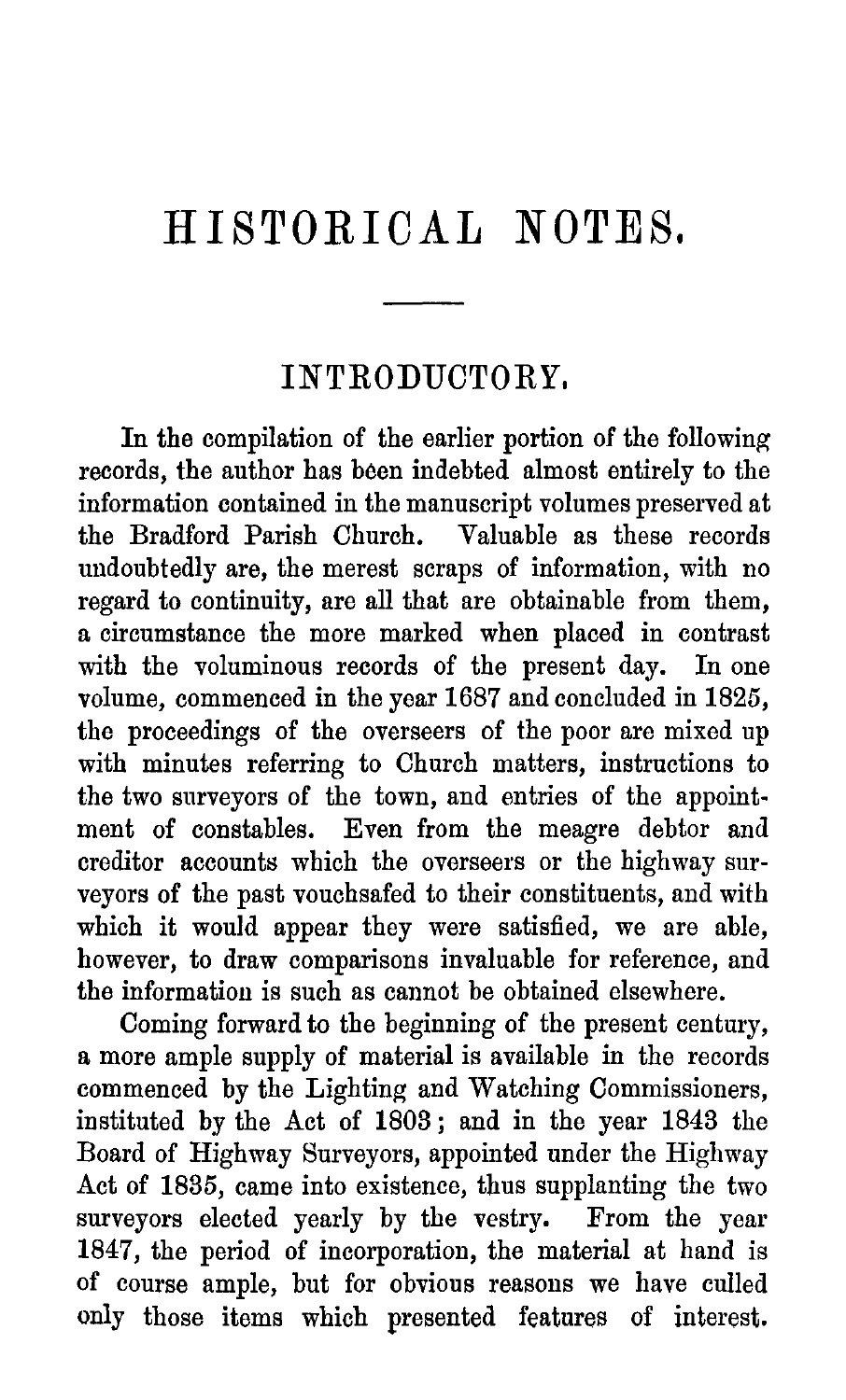## HISTORICAL NOTES.

#### INTRODUCTORY,

In the compilation of the earlier portion of the following records, the author has been indebted almost entirely to the information contained in the manuscript volumes preserved at the Bradford Parish Church. Valuable as these records the Bradford Parish Church. undoubtedly are, the merest scraps of information, with no regard to continuity, are all that are obtainable from them, a circumstance the more marked when placed in contrast with the voluminous records of the present day. In one volume, commenced in the year 1687 and concluded in 1825, the proceedings of the overseers of the poor are mixed up with minutes referring to Church matters, instructions to the two surveyors of the town, and entries of the appointment of constables. Even from the meagre debtor and creditor accounts which the overseers or the highway surveyors of the past vouchsafed to their constituents, and with which it would appear they were satisfied, we are able, however, to draw comparisons invaluable for reference, and the information is such as cannot be obtained elsewhere.

Coming forward to the beginning of the present century, a more ample supply of material is available in the records commenced by the Lighting and Watching Commissioners, instituted by the Act of 1803 ; and in the year 1843 the Board of Highway Surveyors, appointed under the Highway Act of 1835, came into existence, thus supplanting the two surveyors elected yearly by the vestry. From the year 1847, the period of incorporation, the material at hand is of course ample, but for obvious reasons we have culled only those items which presented features of interest.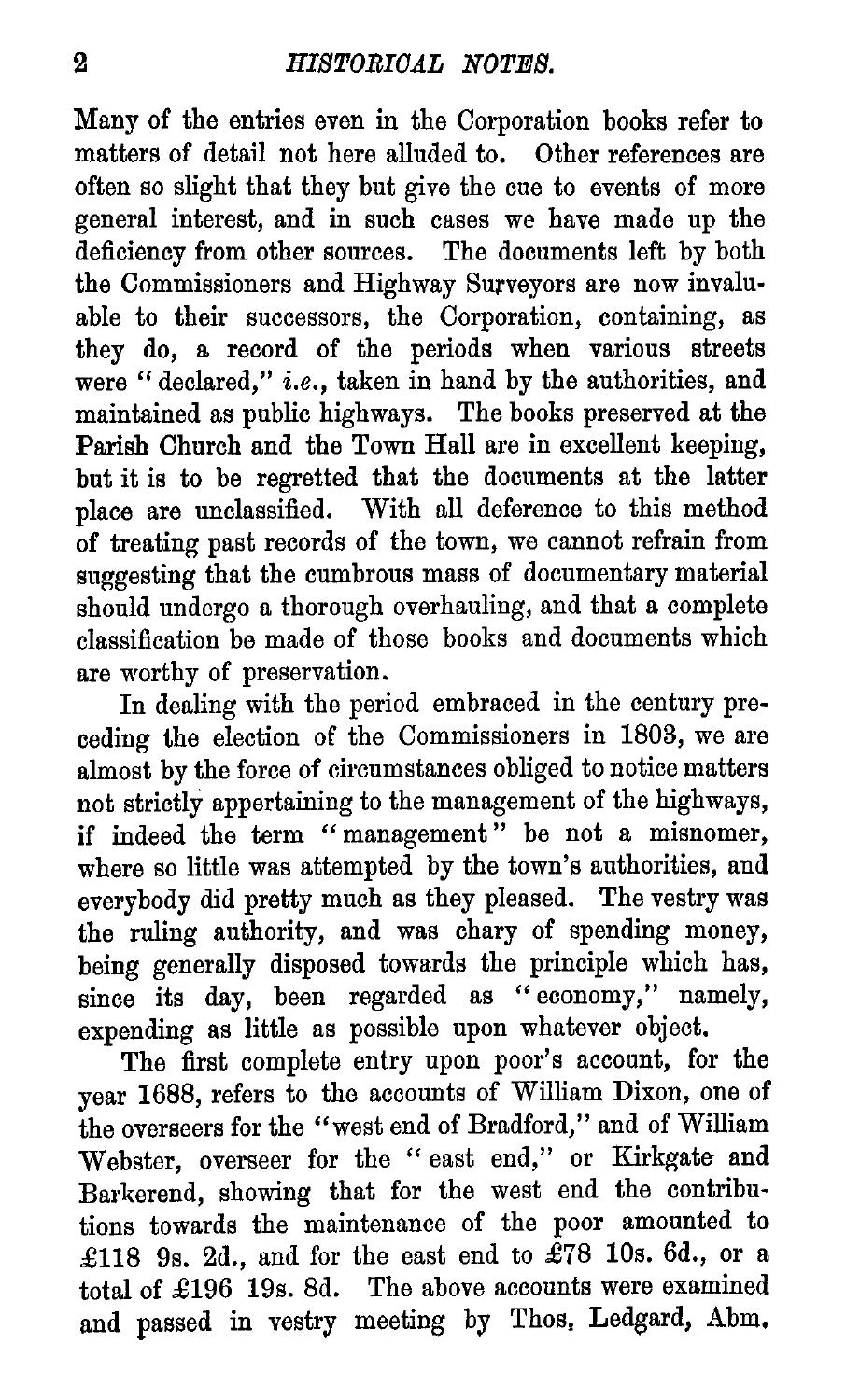2 HISTORICAL NOTES.<br>
Many of the entries even in the Corporat<br>
matters of detail not here alluded to. O Many of the entries even in the Corporation books refer to matters of detail not here alluded to. Other references are often so slight that they but give the cue to events of more general interest, and in such cases we have made up the deficiency from other sources. The documents left by both the Commissioners and Highway Surveyors are now invaluable to their successors, the Corporation, containing, as they do, a record of the periods when various streets were " declared," i.e., taken in hand by the authorities, and maintained as public highways. The books preserved at the Parish Church and the Town Hall are in excellent keeping, but it is to be regretted that the documents at the latter place are unclassified. With all deference to this method of treating past records of the town, we cannot refrain from suggesting that the cumbrous mass of documentary material should undergo a thorough overhauling, and that a complete classification be made of those books and documents which are worthy of preservation.

In dealing with the period embraced in the century preceding the election of the Commissioners in 1803, we are almost by the force of circumstances obliged to notice matters not strictly appertaining to the management of the highways, if indeed the term "management" be not a misnomer, where so little was attempted by the town's authorities, and everybody did pretty much as they pleased. The vestry was the ruling authority, and was chary of spending money, being generally disposed towards the principle which has, since its day, been regarded as "economy," namely, expending as little as possible upon whatever object.

The first complete entry upon poor's account, for the year 1688, refers to the accounts of William Dixon, one of the overseers for the "west end of Bradford," and of William Webster, overseer for the " east end," or Kirkgate and Barkerend, showing that for the west end the contributions towards the maintenance of the poor amounted to £118 9s. 2d., and for the east end to  $\hat{E}78$  10s. 6d., or a total of £196 19s. 8d. The above accounts were examined and passed in vestry meeting by Thos, Ledgard, Abm.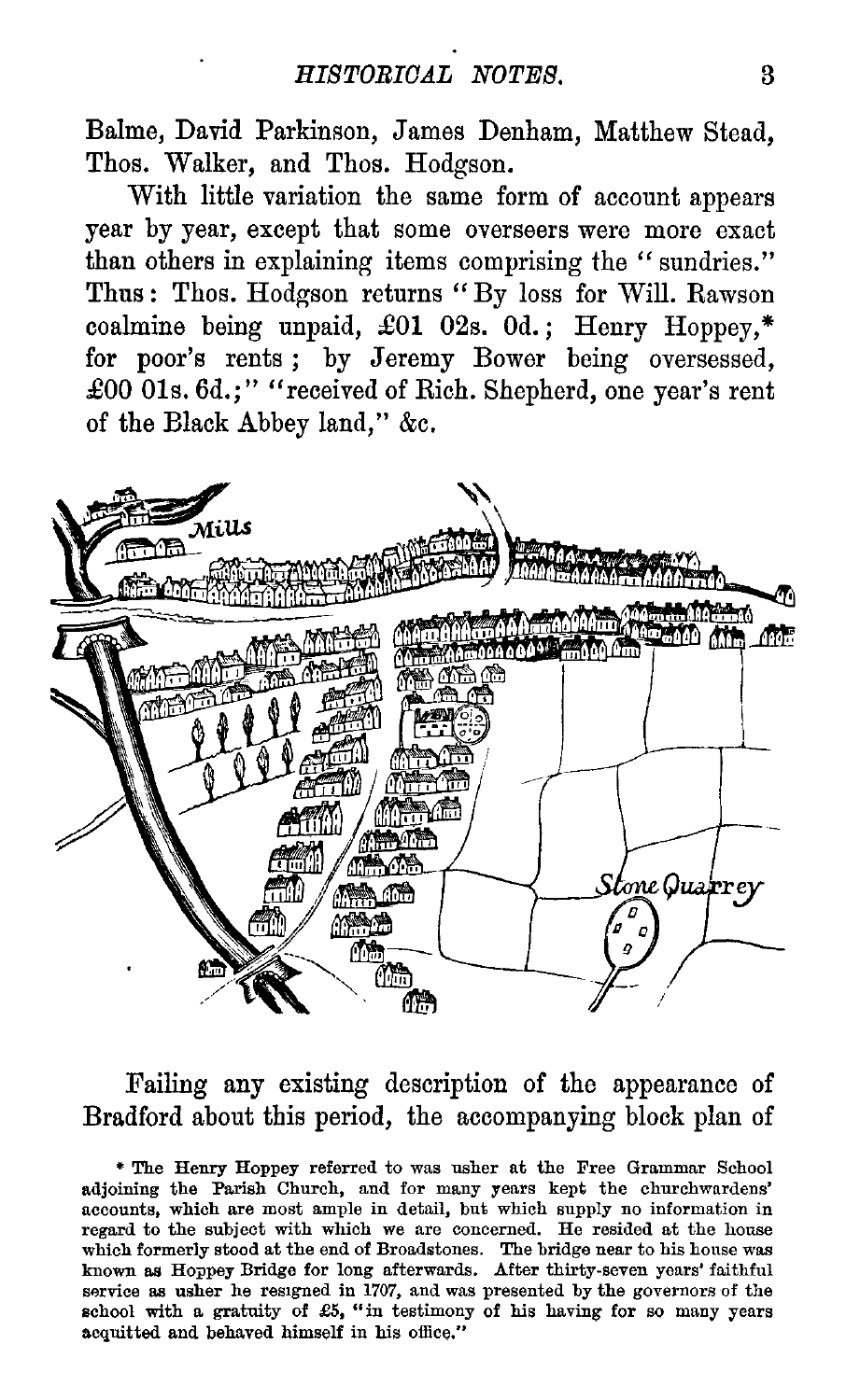*HISTORICAL NOTES.* 3<br>
kinson, James Denham, Matthew Stead,<br>
d Thos. Hodgson. Balme, David Parkinson, James Denham, Matthew Stead, Thos. Walker, and Thos. Hodgson.

With little variation the same form of account appears year by year, except that some overseers were more exact than others in explaining items comprising the " sundries." Thus : Thos. Hodgson returns " By loss for Will. Rawson coalmine being unpaid, £01 02s. 0d. ; Henry Hoppey,\* for poor's rents; by Jeremy Bower being oversessed, **£00 01s. 6d.;"** "received of Rich. Shepherd, one year's rent of the Black Abbey land," &c.



Failing any existing description of the appearance of Bradford about this period, the accompanying block plan of

\* The Henry Hoppey referred to was usher at the Free Grammar School adjoining the Parish Church, and for many years kept the churchwardens' accounts, which are most ample in detail, but which supply no information in regard to the subject with which we are concerned. He resided at the house which formerly stood at the end of Broadstones. The bridge near to his house was known as Hoppey Bridge for long afterwards. After thirty-seven years' faithful service as usher he resigned in 1707, and was presented by the governors of the school with a gratuity of  $£5$ , "in testimony of his having for so many years acquitted and behaved himself in his office."